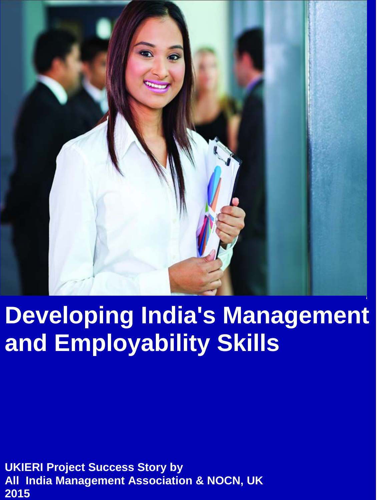

# **Developing India's Management and Employability Skills**

**UKIERI Project Success Story by All India Management Association & NOCN, UK 2015**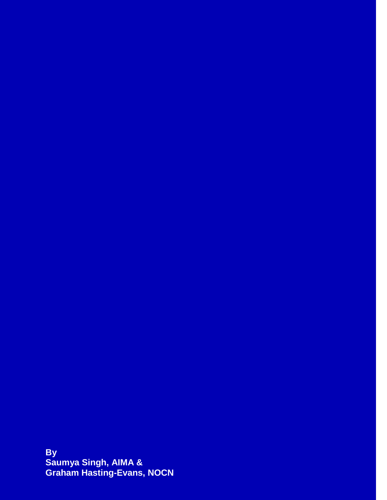**By Saumya Singh, AIMA & Graham Hasting-Evans, NOCN**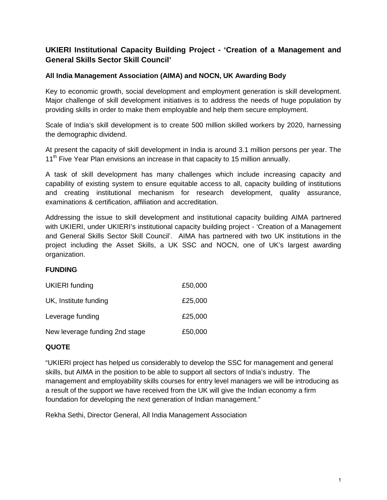# **UKIERI Institutional Capacity Building Project - 'Creation of a Management and General Skills Sector Skill Council'**

## **All India Management Association (AIMA) and NOCN, UK Awarding Body**

Key to economic growth, social development and employment generation is skill development. Major challenge of skill development initiatives is to address the needs of huge population by providing skills in order to make them employable and help them secure employment.

Scale of India's skill development is to create 500 million skilled workers by 2020, harnessing the demographic dividend.

At present the capacity of skill development in India is around 3.1 million persons per year. The 11<sup>th</sup> Five Year Plan envisions an increase in that capacity to 15 million annually.

A task of skill development has many challenges which include increasing capacity and capability of existing system to ensure equitable access to all, capacity building of institutions and creating institutional mechanism for research development, quality assurance, examinations & certification, affiliation and accreditation.

Addressing the issue to skill development and institutional capacity building AIMA partnered with UKIERI, under UKIERI's institutional capacity building project - 'Creation of a Management and General Skills Sector Skill Council'. AIMA has partnered with two UK institutions in the project including the Asset Skills, a UK SSC and NOCN, one of UK's largest awarding organization.

## **FUNDING**

| <b>UKIERI</b> funding          | £50,000 |
|--------------------------------|---------|
| UK, Institute funding          | £25,000 |
| Leverage funding               | £25,000 |
| New leverage funding 2nd stage | £50,000 |

## **QUOTE**

"UKIERI project has helped us considerably to develop the SSC for management and general skills, but AIMA in the position to be able to support all sectors of India's industry. The management and employability skills courses for entry level managers we will be introducing as a result of the support we have received from the UK will give the Indian economy a firm foundation for developing the next generation of Indian management."

Rekha Sethi, Director General, All India Management Association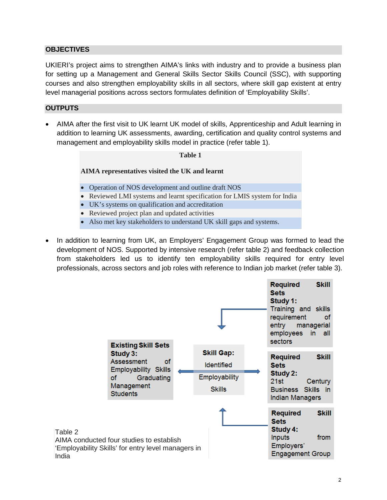## **OBJECTIVES**

UKIERI's project aims to strengthen AIMA's links with industry and to provide a business plan for setting up a Management and General Skills Sector Skills Council (SSC), with supporting courses and also strengthen employability skills in all sectors, where skill gap existent at entry level managerial positions across sectors formulates definition of 'Employability Skills'.

## **OUTPUTS**

• AIMA after the first visit to UK learnt UK model of skills, Apprenticeship and Adult learning in addition to learning UK assessments, awarding, certification and quality control systems and management and employability skills model in practice (refer table 1).

# **Table 1 AIMA representatives visited the UK and learnt** • Operation of NOS development and outline draft NOS • Reviewed LMI systems and learnt specification for LMIS system for India • UK's systems on qualification and accreditation • Reviewed project plan and updated activities

- Also met key stakeholders to understand UK skill gaps and systems.
- In addition to learning from UK, an Employers' Engagement Group was formed to lead the development of NOS. Supported by intensive research (refer table 2) and feedback collection from stakeholders led us to identify ten employability skills required for entry level professionals, across sectors and job roles with reference to Indian job market (refer table 3).

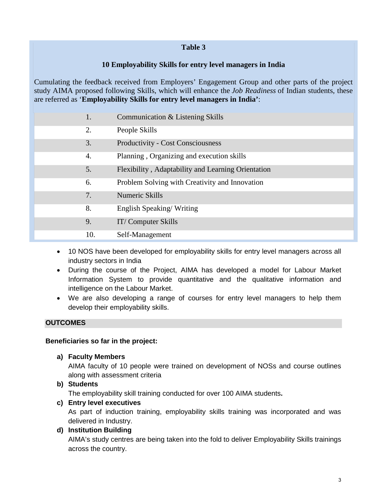## **Table 3**

# **10 Employability Skills for entry level managers in India**

Cumulating the feedback received from Employers' Engagement Group and other parts of the project study AIMA proposed following Skills, which will enhance the *Job Readiness* of Indian students, these are referred as '**Employability Skills for entry level managers in India'**:

- 1. Communication & Listening Skills 2. People Skills 3. Productivity - Cost Consciousness 4. Planning , Organizing and execution skills 5. Flexibility , Adaptability and Learning Orientation 6. Problem Solving with Creativity and Innovation 7. Numeric Skills 8. English Speaking/ Writing 9. IT/ Computer Skills 10. Self-Management
	- 10 NOS have been developed for employability skills for entry level managers across all industry sectors in India
	- During the course of the Project, AIMA has developed a model for Labour Market Information System to provide quantitative and the qualitative information and intelligence on the Labour Market.
	- We are also developing a range of courses for entry level managers to help them develop their employability skills.

## **OUTCOMES**

## **Beneficiaries so far in the project:**

**a) Faculty Members**

AIMA faculty of 10 people were trained on development of NOSs and course outlines along with assessment criteria

**b) Students** 

The employability skill training conducted for over 100 AIMA students**.** 

**c) Entry level executives**

As part of induction training, employability skills training was incorporated and was delivered in Industry.

**d) Institution Building**

AIMA's study centres are being taken into the fold to deliver Employability Skills trainings across the country.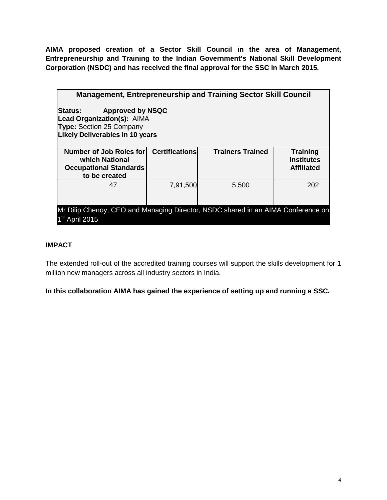**AIMA proposed creation of a Sector Skill Council in the area of Management, Entrepreneurship and Training to the Indian Government's National Skill Development Corporation (NSDC) and has received the final approval for the SSC in March 2015.**

| <b>Management, Entrepreneurship and Training Sector Skill Council</b>                                                                                 |                       |                         |                                                           |
|-------------------------------------------------------------------------------------------------------------------------------------------------------|-----------------------|-------------------------|-----------------------------------------------------------|
| <b>Approved by NSQC</b><br>lStatus:<br><b>Lead Organization(s): AIMA</b><br><b>Type:</b> Section 25 Company<br><b>Likely Deliverables in 10 years</b> |                       |                         |                                                           |
| Number of Job Roles for<br>which National<br><b>Occupational Standards</b><br>to be created                                                           | <b>Certifications</b> | <b>Trainers Trained</b> | <b>Training</b><br><b>Institutes</b><br><b>Affiliated</b> |
| 47                                                                                                                                                    | 7,91,500              | 5,500                   | 202                                                       |
| Mr Dilip Chenoy, CEO and Managing Director, NSDC shared in an AIMA Conference on<br>1 <sup>st</sup><br><b>April 2015</b>                              |                       |                         |                                                           |

## **IMPACT**

The extended roll-out of the accredited training courses will support the skills development for 1 million new managers across all industry sectors in India.

**In this collaboration AIMA has gained the experience of setting up and running a SSC.**